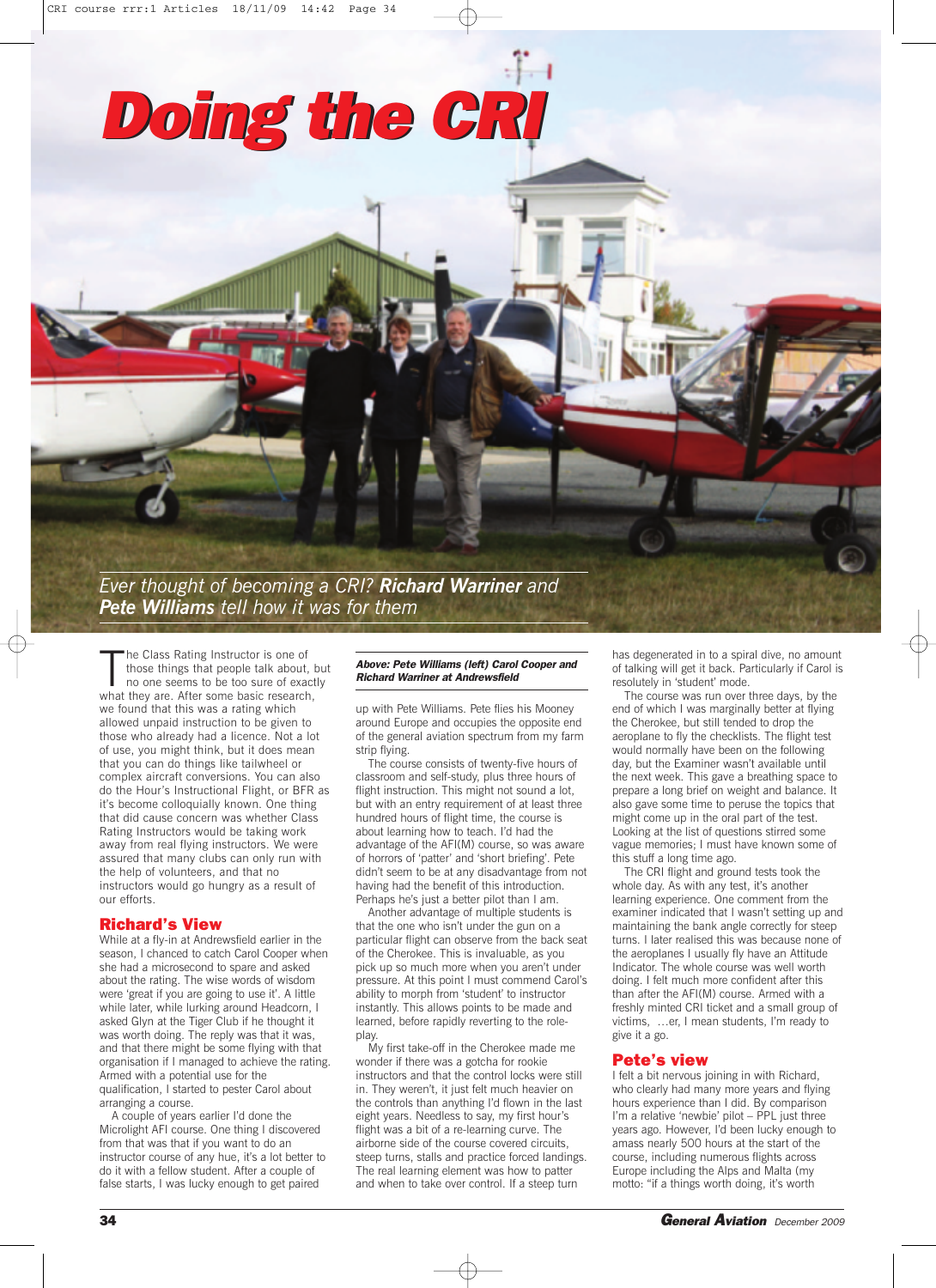# *Doing the CRI*

*Ever thought of becoming a CRI? Richard Warriner and Pete Williams tell how it was for them*

The Class Rating Instructor is one of those things that people talk about, no one seems to be too sure of exaction what they are. After some basic research, he Class Rating Instructor is one of those things that people talk about, but no one seems to be too sure of exactly we found that this was a rating which allowed unpaid instruction to be given to those who already had a licence. Not a lot of use, you might think, but it does mean that you can do things like tailwheel or complex aircraft conversions. You can also do the Hour's Instructional Flight, or BFR as it's become colloquially known. One thing that did cause concern was whether Class Rating Instructors would be taking work away from real flying instructors. We were assured that many clubs can only run with the help of volunteers, and that no instructors would go hungry as a result of our efforts.

# **Richard's View**

While at a fly-in at Andrewsfield earlier in the season, I chanced to catch Carol Cooper when she had a microsecond to spare and asked about the rating. The wise words of wisdom were 'great if you are going to use it'. A little while later, while lurking around Headcorn, I asked Glyn at the Tiger Club if he thought it was worth doing. The reply was that it was, and that there might be some flying with that organisation if I managed to achieve the rating. Armed with a potential use for the qualification, I started to pester Carol about arranging a course.

A couple of years earlier I'd done the Microlight AFI course. One thing I discovered from that was that if you want to do an instructor course of any hue, it's a lot better to do it with a fellow student. After a couple of false starts, I was lucky enough to get paired

### *Above: Pete Williams (left) Carol Cooper and Richard Warriner at Andrewsfield*

up with Pete Williams. Pete flies his Mooney around Europe and occupies the opposite end of the general aviation spectrum from my farm strip flying.

The course consists of twenty-five hours of classroom and self-study, plus three hours of flight instruction. This might not sound a lot. but with an entry requirement of at least three hundred hours of flight time, the course is about learning how to teach. I'd had the advantage of the AFI(M) course, so was aware of horrors of 'patter' and 'short briefing'. Pete didn't seem to be at any disadvantage from not having had the benefit of this introduction. Perhaps he's just a better pilot than I am.

Another advantage of multiple students is that the one who isn't under the gun on a particular flight can observe from the back seat of the Cherokee. This is invaluable, as you pick up so much more when you aren't under pressure. At this point I must commend Carol's ability to morph from 'student' to instructor instantly. This allows points to be made and learned, before rapidly reverting to the roleplay

My first take-off in the Cherokee made me wonder if there was a gotcha for rookie instructors and that the control locks were still in. They weren't, it just felt much heavier on the controls than anything I'd flown in the last eight years. Needless to say, my first hour's flight was a bit of a re-learning curve. The airborne side of the course covered circuits, steep turns, stalls and practice forced landings. The real learning element was how to patter and when to take over control. If a steep turn

has degenerated in to a spiral dive, no amount of talking will get it back. Particularly if Carol is resolutely in 'student' mode.

The course was run over three days, by the end of which I was marginally better at flying the Cherokee, but still tended to drop the aeroplane to fly the checklists. The flight test would normally have been on the following day, but the Examiner wasn't available until the next week. This gave a breathing space to prepare a long brief on weight and balance. It also gave some time to peruse the topics that might come up in the oral part of the test. Looking at the list of questions stirred some vague memories; I must have known some of this stuff a long time ago.

The CRI flight and ground tests took the whole day. As with any test, it's another learning experience. One comment from the examiner indicated that I wasn't setting up and maintaining the bank angle correctly for steep turns. I later realised this was because none of the aeroplanes I usually fly have an Attitude Indicator. The whole course was well worth doing. I felt much more confident after this than after the AFI(M) course. Armed with a freshly minted CRI ticket and a small group of victims, …er, I mean students, I'm ready to give it a go.

# **Pete's view**

I felt a bit nervous joining in with Richard, who clearly had many more years and flying hours experience than I did. By comparison I'm a relative 'newbie' pilot – PPL just three years ago. However, I'd been lucky enough to amass nearly 500 hours at the start of the course, including numerous flights across Europe including the Alps and Malta (my motto: "if a things worth doing, it's worth